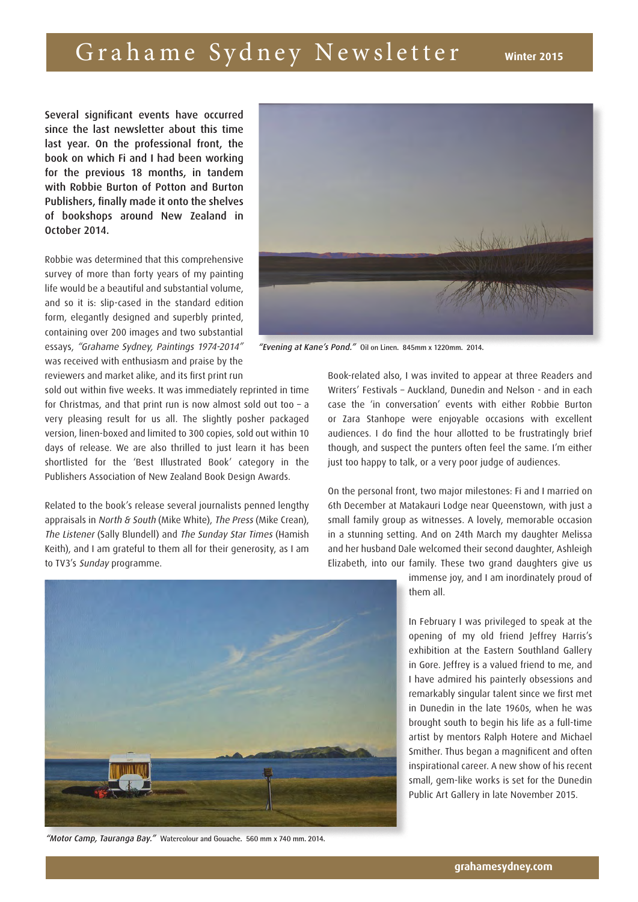## Grahame Sydney Newsletter winter 2015

Several significant events have occurred since the last newsletter about this time last year. On the professional front, the book on which Fi and I had been working for the previous 18 months, in tandem with Robbie Burton of Potton and Burton Publishers, finally made it onto the shelves of bookshops around New Zealand in October 2014.

Robbie was determined that this comprehensive survey of more than forty years of my painting life would be a beautiful and substantial volume, and so it is: slip-cased in the standard edition form, elegantly designed and superbly printed, containing over 200 images and two substantial essays, "Grahame Sydney, Paintings 1974-2014" was received with enthusiasm and praise by the reviewers and market alike, and its first print run



"Evening at Kane's Pond." **Oil on Linen. 845mm x 1220mm. 2014.**

sold out within five weeks. It was immediately reprinted in time for Christmas, and that print run is now almost sold out too – a very pleasing result for us all. The slightly posher packaged version, linen-boxed and limited to 300 copies, sold out within 10 days of release. We are also thrilled to just learn it has been shortlisted for the 'Best Illustrated Book' category in the Publishers Association of New Zealand Book Design Awards.

Related to the book's release several journalists penned lengthy appraisals in North & South (Mike White), The Press (Mike Crean), The Listener (Sally Blundell) and The Sunday Star Times (Hamish Keith), and I am grateful to them all for their generosity, as I am to TV3's Sunday programme.



On the personal front, two major milestones: Fi and I married on 6th December at Matakauri Lodge near Queenstown, with just a small family group as witnesses. A lovely, memorable occasion in a stunning setting. And on 24th March my daughter Melissa and her husband Dale welcomed their second daughter, Ashleigh Elizabeth, into our family. These two grand daughters give us



In February I was privileged to speak at the opening of my old friend Jeffrey Harris's exhibition at the Eastern Southland Gallery in Gore. Jeffrey is a valued friend to me, and I have admired his painterly obsessions and remarkably singular talent since we first met in Dunedin in the late 1960s, when he was brought south to begin his life as a full-time artist by mentors Ralph Hotere and Michael Smither. Thus began a magnificent and often inspirational career. A new show of his recent small, gem-like works is set for the Dunedin Public Art Gallery in late November 2015.



"Motor Camp, Tauranga Bay." **Watercolour and Gouache. 560 mm x 740 mm. 2014.**